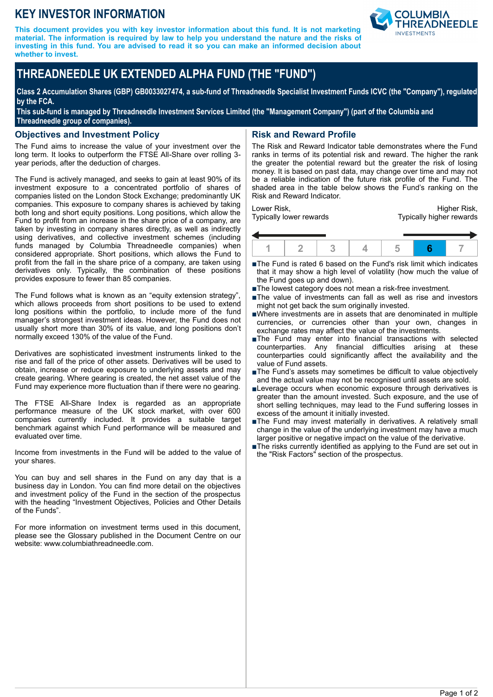## **KEY INVESTOR INFORMATION**

**This document provides you with key investor information about this fund. It is not marketing material. The information is required by law to help you understand the nature and the risks of investing in this fund. You are advised to read it so you can make an informed decision about whether to invest.**



# **THREADNEEDLE UK EXTENDED ALPHA FUND (THE "FUND")**

**Class 2 Accumulation Shares (GBP) GB0033027474, a sub-fund of Threadneedle Specialist Investment Funds ICVC (the "Company"), regulated by the FCA.**

**This sub-fund is managed by Threadneedle Investment Services Limited (the "Management Company") (part of the Columbia and Threadneedle group of companies).**

#### **Objectives and Investment Policy**

The Fund aims to increase the value of your investment over the long term. It looks to outperform the FTSE All-Share over rolling 3 year periods, after the deduction of charges.

The Fund is actively managed, and seeks to gain at least 90% of its investment exposure to a concentrated portfolio of shares of companies listed on the London Stock Exchange; predominantly UK companies. This exposure to company shares is achieved by taking both long and short equity positions. Long positions, which allow the Fund to profit from an increase in the share price of a company, are taken by investing in company shares directly, as well as indirectly using derivatives, and collective investment schemes (including funds managed by Columbia Threadneedle companies) when considered appropriate. Short positions, which allows the Fund to profit from the fall in the share price of a company, are taken using derivatives only. Typically, the combination of these positions provides exposure to fewer than 85 companies.

The Fund follows what is known as an "equity extension strategy", which allows proceeds from short positions to be used to extend long positions within the portfolio, to include more of the fund manager's strongest investment ideas. However, the Fund does not usually short more than 30% of its value, and long positions don't normally exceed 130% of the value of the Fund.

Derivatives are sophisticated investment instruments linked to the rise and fall of the price of other assets. Derivatives will be used to obtain, increase or reduce exposure to underlying assets and may create gearing. Where gearing is created, the net asset value of the Fund may experience more fluctuation than if there were no gearing.

The FTSE All-Share Index is regarded as an appropriate performance measure of the UK stock market, with over 600 companies currently included. It provides a suitable target benchmark against which Fund performance will be measured and evaluated over time.

Income from investments in the Fund will be added to the value of your shares.

You can buy and sell shares in the Fund on any day that is a business day in London. You can find more detail on the objectives and investment policy of the Fund in the section of the prospectus with the heading "Investment Objectives, Policies and Other Details of the Funds".

For more information on investment terms used in this document, please see the Glossary published in the Document Centre on our website: www.columbiathreadneedle.com.

### **Risk and Reward Profile**

The Risk and Reward Indicator table demonstrates where the Fund ranks in terms of its potential risk and reward. The higher the rank the greater the potential reward but the greater the risk of losing money. It is based on past data, may change over time and may not be a reliable indication of the future risk profile of the Fund. The shaded area in the table below shows the Fund's ranking on the Risk and Reward Indicator.

Lower Risk, Typically lower rewards

Higher Risk, Typically higher rewards



- ■The Fund is rated 6 based on the Fund's risk limit which indicates that it may show a high level of volatility (how much the value of the Fund goes up and down).
- The lowest category does not mean a risk-free investment.
- The value of investments can fall as well as rise and investors might not get back the sum originally invested.
- nWhere investments are in assets that are denominated in multiple currencies, or currencies other than your own, changes in exchange rates may affect the value of the investments.
- The Fund may enter into financial transactions with selected counterparties. Any financial difficulties arising at these counterparties could significantly affect the availability and the value of Fund assets.
- The Fund's assets may sometimes be difficult to value objectively and the actual value may not be recognised until assets are sold.
- Leverage occurs when economic exposure through derivatives is greater than the amount invested. Such exposure, and the use of short selling techniques, may lead to the Fund suffering losses in excess of the amount it initially invested.
- ■The Fund may invest materially in derivatives. A relatively small change in the value of the underlying investment may have a much larger positive or negative impact on the value of the derivative.
- The risks currently identified as applying to the Fund are set out in the "Risk Factors" section of the prospectus.